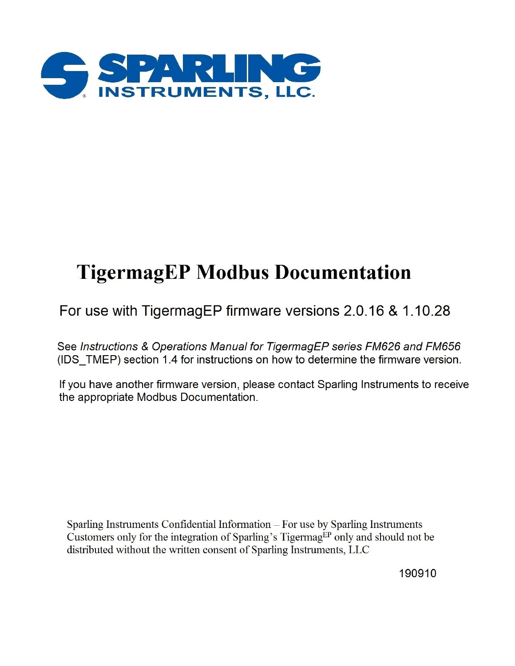

# **TigermagEP Modbus Documentation**

# For use with TigermagEP firmware versions 2.0.16 & 1.10.28

See Instructions & Operations Manual for TigermagEP series FM626 and FM656 (IDS TMEP) section 1.4 for instructions on how to determine the firmware version.

If you have another firmware version, please contact Sparling Instruments to receive the appropriate Modbus Documentation.

Sparling Instruments Confidential Information - For use by Sparling Instruments Customers only for the integration of Sparling's Tigermag<sup>EP</sup> only and should not be distributed without the written consent of Sparling Instruments, LLC

190910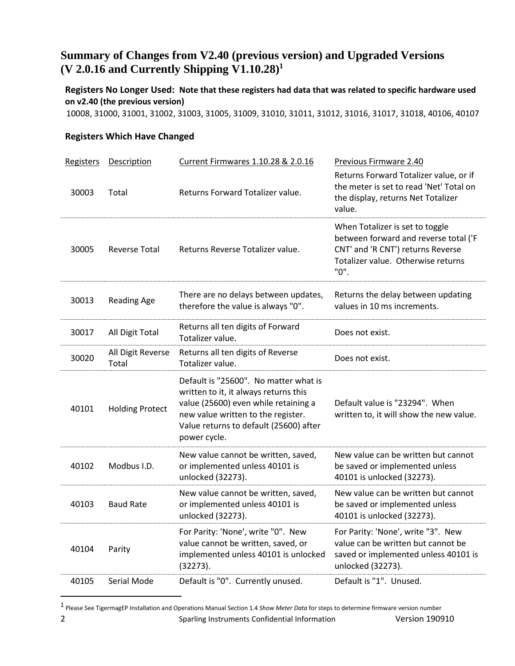# **Summary of Changes from V2.40 (previous version) and Upgraded Versions (V 2.0.16 and Currently Shipping V1.10.28)<sup>1</sup>**

**Registers No Longer Used: Note that these registers had data that was related to specific hardware used on v2.40 (the previous version)**

10008, 31000, 31001, 31002, 31003, 31005, 31009, 31010, 31011, 31012, 31016, 31017, 31018, 40106, 40107

#### **Registers Which Have Changed**

| <b>Registers</b> | <b>Description</b>         | Current Firmwares 1.10.28 & 2.0.16                                                                                                                                                                                     | Previous Firmware 2.40                                                                                                                                      |
|------------------|----------------------------|------------------------------------------------------------------------------------------------------------------------------------------------------------------------------------------------------------------------|-------------------------------------------------------------------------------------------------------------------------------------------------------------|
| 30003            | Total                      | Returns Forward Totalizer value.                                                                                                                                                                                       | Returns Forward Totalizer value, or if<br>the meter is set to read 'Net' Total on<br>the display, returns Net Totalizer<br>value.                           |
| 30005            | <b>Reverse Total</b>       | Returns Reverse Totalizer value.                                                                                                                                                                                       | When Totalizer is set to toggle<br>between forward and reverse total ('F<br>CNT' and 'R CNT') returns Reverse<br>Totalizer value. Otherwise returns<br>"0". |
| 30013            | <b>Reading Age</b>         | There are no delays between updates,<br>therefore the value is always "0".                                                                                                                                             | Returns the delay between updating<br>values in 10 ms increments.                                                                                           |
| 30017            | All Digit Total            | Returns all ten digits of Forward<br>Totalizer value.                                                                                                                                                                  | Does not exist.                                                                                                                                             |
| 30020            | All Digit Reverse<br>Total | Returns all ten digits of Reverse<br>Totalizer value.                                                                                                                                                                  | Does not exist.                                                                                                                                             |
| 40101            | <b>Holding Protect</b>     | Default is "25600". No matter what is<br>written to it, it always returns this<br>value (25600) even while retaining a<br>new value written to the register.<br>Value returns to default (25600) after<br>power cycle. | Default value is "23294". When<br>written to, it will show the new value.                                                                                   |
| 40102            | Modbus I.D.                | New value cannot be written, saved,<br>or implemented unless 40101 is<br>unlocked (32273).                                                                                                                             | New value can be written but cannot<br>be saved or implemented unless<br>40101 is unlocked (32273).                                                         |
| 40103            | <b>Baud Rate</b>           | New value cannot be written, saved,<br>or implemented unless 40101 is<br>unlocked (32273).                                                                                                                             | New value can be written but cannot<br>be saved or implemented unless<br>40101 is unlocked (32273).                                                         |
| 40104            | Parity                     | For Parity: 'None', write "0". New<br>value cannot be written, saved, or<br>implemented unless 40101 is unlocked<br>(32273).                                                                                           | For Parity: 'None', write "3". New<br>value can be written but cannot be<br>saved or implemented unless 40101 is<br>unlocked (32273).                       |
| 40105            | Serial Mode                | Default is "0". Currently unused.                                                                                                                                                                                      | Default is "1". Unused.                                                                                                                                     |

<sup>2</sup> Sparling Instruments Confidential Information Version 190910 1 Please See TigermagEP Installation and Operations Manual Section 1.4 *Show Meter Data* for steps to determine firmware version number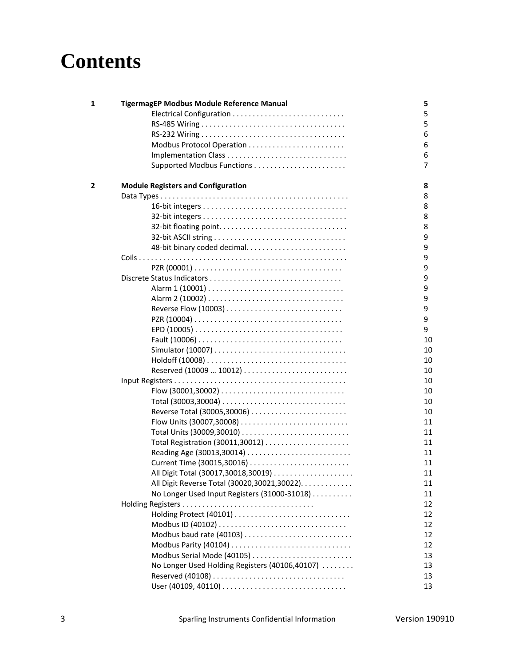# **Contents**

| 1 | TigermagEP Modbus Module Reference Manual      | 5  |
|---|------------------------------------------------|----|
|   |                                                | 5  |
|   |                                                | 5  |
|   |                                                | 6  |
|   |                                                | 6  |
|   |                                                | 6  |
|   | Supported Modbus Functions                     | 7  |
| 2 | <b>Module Registers and Configuration</b>      | 8  |
|   |                                                | 8  |
|   |                                                | 8  |
|   |                                                | 8  |
|   |                                                | 8  |
|   |                                                | 9  |
|   |                                                | 9  |
|   |                                                | 9  |
|   |                                                | 9  |
|   |                                                | 9  |
|   |                                                | 9  |
|   |                                                | 9  |
|   |                                                | 9  |
|   |                                                | 9  |
|   |                                                | 9  |
|   |                                                | 10 |
|   |                                                | 10 |
|   |                                                | 10 |
|   |                                                | 10 |
|   |                                                | 10 |
|   |                                                | 10 |
|   |                                                | 10 |
|   |                                                | 10 |
|   |                                                | 11 |
|   |                                                | 11 |
|   |                                                | 11 |
|   | Reading Age (30013,30014)                      | 11 |
|   | Current Time (30015,30016)                     | 11 |
|   |                                                | 11 |
|   | All Digit Reverse Total (30020,30021,30022).   | 11 |
|   | No Longer Used Input Registers (31000-31018)   | 11 |
|   |                                                | 12 |
|   |                                                | 12 |
|   |                                                | 12 |
|   | Modbus baud rate (40103)                       | 12 |
|   |                                                | 12 |
|   | Modbus Serial Mode (40105)                     | 13 |
|   | No Longer Used Holding Registers (40106,40107) | 13 |
|   |                                                | 13 |
|   |                                                | 13 |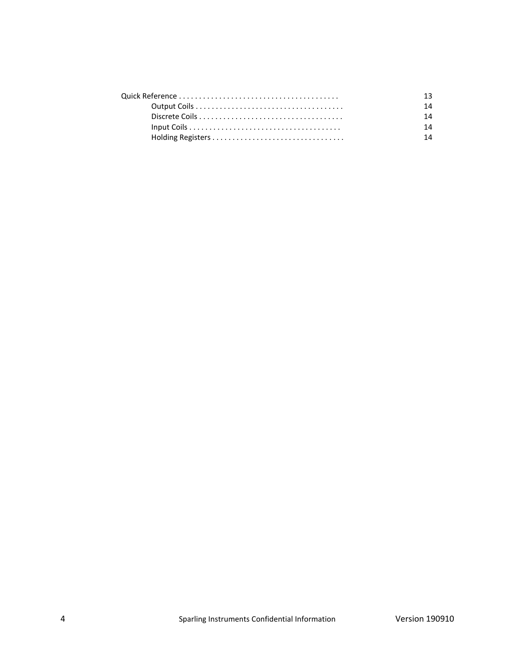| 14 |
|----|
| 14 |
| 14 |
| 14 |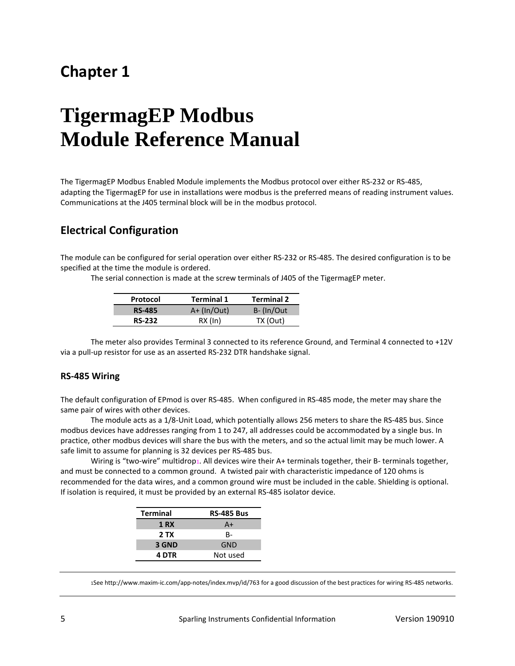# **Chapter 1**

# **TigermagEP Modbus Module Reference Manual**

The TigermagEP Modbus Enabled Module implements the Modbus protocol over either RS-232 or RS-485, adapting the TigermagEP for use in installations were modbus is the preferred means of reading instrument values. Communications at the J405 terminal block will be in the modbus protocol.

## **Electrical Configuration**

The module can be configured for serial operation over either RS-232 or RS-485. The desired configuration is to be specified at the time the module is ordered.

The serial connection is made at the screw terminals of J405 of the TigermagEP meter.

| Protocol      | <b>Terminal 1</b> | <b>Terminal 2</b> |
|---------------|-------------------|-------------------|
| <b>RS-485</b> | $A+ (In/Out)$     | B-(In/Out         |
| <b>RS-232</b> | $RX$ (In)         | TX (Out)          |

The meter also provides Terminal 3 connected to its reference Ground, and Terminal 4 connected to +12V via a pull-up resistor for use as an asserted RS-232 DTR handshake signal.

#### **RS-485 Wiring**

The default configuration of EPmod is over RS-485. When configured in RS-485 mode, the meter may share the same pair of wires with other devices.

The module acts as a 1/8-Unit Load, which potentially allows 256 meters to share the RS-485 bus. Since modbus devices have addresses ranging from 1 to 247, all addresses could be accommodated by a single bus. In practice, other modbus devices will share the bus with the meters, and so the actual limit may be much lower. A safe limit to assume for planning is 32 devices per RS-485 bus.

Wiring is "two-wire" multidrop1. All devices wire their A+ terminals together, their B- terminals together, and must be connected to a common ground. A twisted pair with characteristic impedance of 120 ohms is recommended for the data wires, and a common ground wire must be included in the cable. Shielding is optional. If isolation is required, it must be provided by an external RS-485 isolator device.

| <b>Terminal</b> | <b>RS-485 Bus</b> |
|-----------------|-------------------|
| <b>1 RX</b>     | $A+$              |
| 2 TX            | <b>B-</b>         |
| 3 GND           | GND               |
| 4 DTR           | Not used          |

1See http://www.maxim-ic.com/app-notes/index.mvp/id/763 for a good discussion of the best practices for wiring RS-485 networks.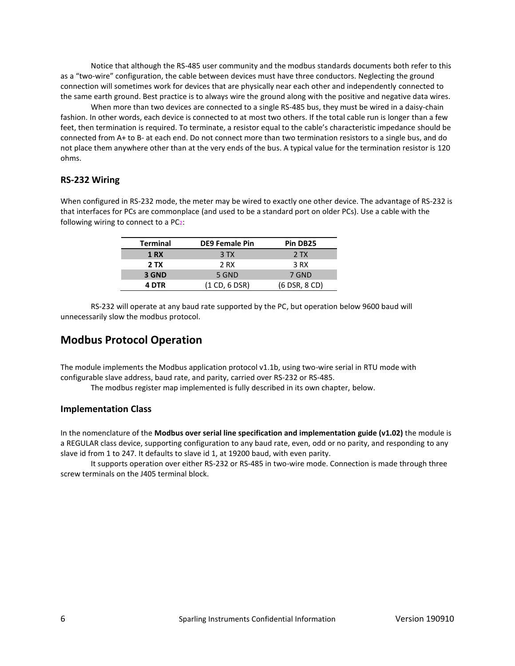Notice that although the RS-485 user community and the modbus standards documents both refer to this as a "two-wire" configuration, the cable between devices must have three conductors. Neglecting the ground connection will sometimes work for devices that are physically near each other and independently connected to the same earth ground. Best practice is to always wire the ground along with the positive and negative data wires.

When more than two devices are connected to a single RS-485 bus, they must be wired in a daisy-chain fashion. In other words, each device is connected to at most two others. If the total cable run is longer than a few feet, then termination is required. To terminate, a resistor equal to the cable's characteristic impedance should be connected from A+ to B- at each end. Do not connect more than two termination resistors to a single bus, and do not place them anywhere other than at the very ends of the bus. A typical value for the termination resistor is 120 ohms.

#### **RS-232 Wiring**

When configured in RS-232 mode, the meter may be wired to exactly one other device. The advantage of RS-232 is that interfaces for PCs are commonplace (and used to be a standard port on older PCs). Use a cable with the following wiring to connect to a PC2:

| <b>Terminal</b> | <b>DE9 Female Pin</b> | Pin DB25      |
|-----------------|-----------------------|---------------|
| <b>1 RX</b>     | 3 TX                  | 2TX           |
| 2 TX            | 2 RX                  | 3 RX          |
| 3 GND           | 5 GND                 | 7 GND         |
| 4 DTR           | (1 CD, 6 DSR)         | (6 DSR, 8 CD) |

RS-232 will operate at any baud rate supported by the PC, but operation below 9600 baud will unnecessarily slow the modbus protocol.

## **Modbus Protocol Operation**

The module implements the Modbus application protocol v1.1b, using two-wire serial in RTU mode with configurable slave address, baud rate, and parity, carried over RS-232 or RS-485.

The modbus register map implemented is fully described in its own chapter, below.

#### **Implementation Class**

In the nomenclature of the **Modbus over serial line specification and implementation guide (v1.02)** the module is a REGULAR class device, supporting configuration to any baud rate, even, odd or no parity, and responding to any slave id from 1 to 247. It defaults to slave id 1, at 19200 baud, with even parity.

It supports operation over either RS-232 or RS-485 in two-wire mode. Connection is made through three screw terminals on the J405 terminal block.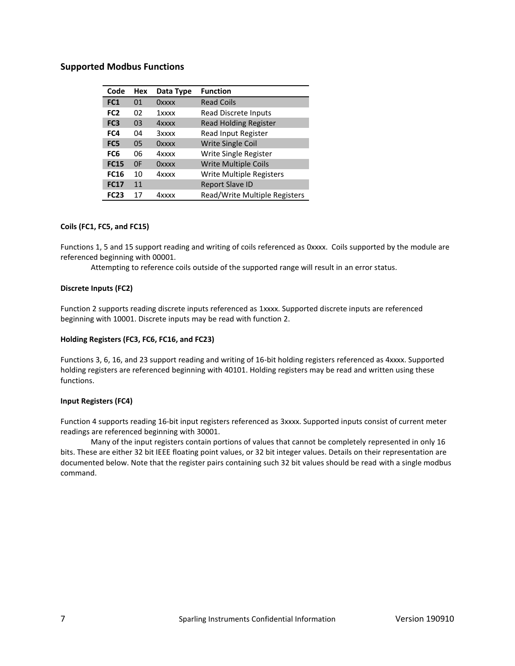#### **Supported Modbus Functions**

| Code            | Hex | Data Type | <b>Function</b>                 |
|-----------------|-----|-----------|---------------------------------|
| FC1             | 01  | Oxxxx     | <b>Read Coils</b>               |
| FC <sub>2</sub> | 02  | 1xxxx     | Read Discrete Inputs            |
| FC <sub>3</sub> | 03  | 4xxxx     | <b>Read Holding Register</b>    |
| FC4             | 04  | 3xxxx     | Read Input Register             |
| FC5             | 05  | Oxxxx     | <b>Write Single Coil</b>        |
| FC <sub>6</sub> | 06  | 4xxxx     | Write Single Register           |
| <b>FC15</b>     | 0F  | Oxxxx     | <b>Write Multiple Coils</b>     |
| <b>FC16</b>     | 10  | 4xxxx     | <b>Write Multiple Registers</b> |
| <b>FC17</b>     | 11  |           | <b>Report Slave ID</b>          |
| <b>FC23</b>     | 17  | 4xxxx     | Read/Write Multiple Registers   |

#### **Coils (FC1, FC5, and FC15)**

Functions 1, 5 and 15 support reading and writing of coils referenced as 0xxxx. Coils supported by the module are referenced beginning with 00001.

Attempting to reference coils outside of the supported range will result in an error status.

#### **Discrete Inputs (FC2)**

Function 2 supports reading discrete inputs referenced as 1xxxx. Supported discrete inputs are referenced beginning with 10001. Discrete inputs may be read with function 2.

#### **Holding Registers (FC3, FC6, FC16, and FC23)**

Functions 3, 6, 16, and 23 support reading and writing of 16-bit holding registers referenced as 4xxxx. Supported holding registers are referenced beginning with 40101. Holding registers may be read and written using these functions.

#### **Input Registers (FC4)**

Function 4 supports reading 16-bit input registers referenced as 3xxxx. Supported inputs consist of current meter readings are referenced beginning with 30001.

Many of the input registers contain portions of values that cannot be completely represented in only 16 bits. These are either 32 bit IEEE floating point values, or 32 bit integer values. Details on their representation are documented below. Note that the register pairs containing such 32 bit values should be read with a single modbus command.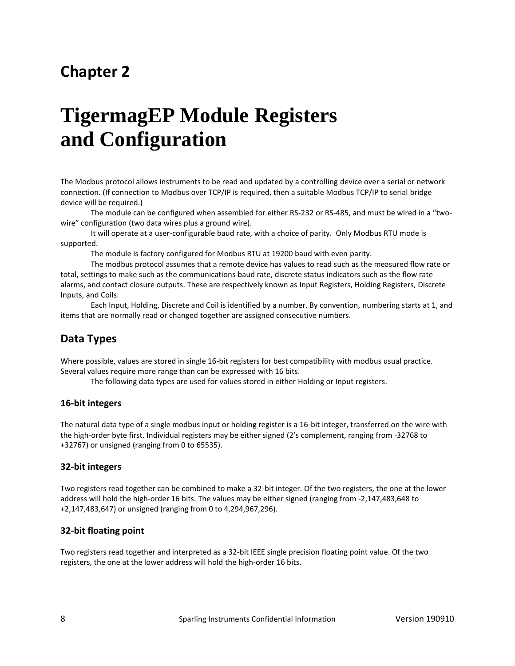# **Chapter 2**

# **TigermagEP Module Registers and Configuration**

The Modbus protocol allows instruments to be read and updated by a controlling device over a serial or network connection. (If connection to Modbus over TCP/IP is required, then a suitable Modbus TCP/IP to serial bridge device will be required.)

The module can be configured when assembled for either RS-232 or RS-485, and must be wired in a "twowire" configuration (two data wires plus a ground wire).

It will operate at a user-configurable baud rate, with a choice of parity. Only Modbus RTU mode is supported.

The module is factory configured for Modbus RTU at 19200 baud with even parity.

The modbus protocol assumes that a remote device has values to read such as the measured flow rate or total, settings to make such as the communications baud rate, discrete status indicators such as the flow rate alarms, and contact closure outputs. These are respectively known as Input Registers, Holding Registers, Discrete Inputs, and Coils.

Each Input, Holding, Discrete and Coil is identified by a number. By convention, numbering starts at 1, and items that are normally read or changed together are assigned consecutive numbers.

## **Data Types**

Where possible, values are stored in single 16-bit registers for best compatibility with modbus usual practice. Several values require more range than can be expressed with 16 bits.

The following data types are used for values stored in either Holding or Input registers.

#### **16-bit integers**

The natural data type of a single modbus input or holding register is a 16-bit integer, transferred on the wire with the high-order byte first. Individual registers may be either signed (2's complement, ranging from -32768 to +32767) or unsigned (ranging from 0 to 65535).

#### **32-bit integers**

Two registers read together can be combined to make a 32-bit integer. Of the two registers, the one at the lower address will hold the high-order 16 bits. The values may be either signed (ranging from -2,147,483,648 to +2,147,483,647) or unsigned (ranging from 0 to 4,294,967,296).

#### **32-bit floating point**

Two registers read together and interpreted as a 32-bit IEEE single precision floating point value. Of the two registers, the one at the lower address will hold the high-order 16 bits.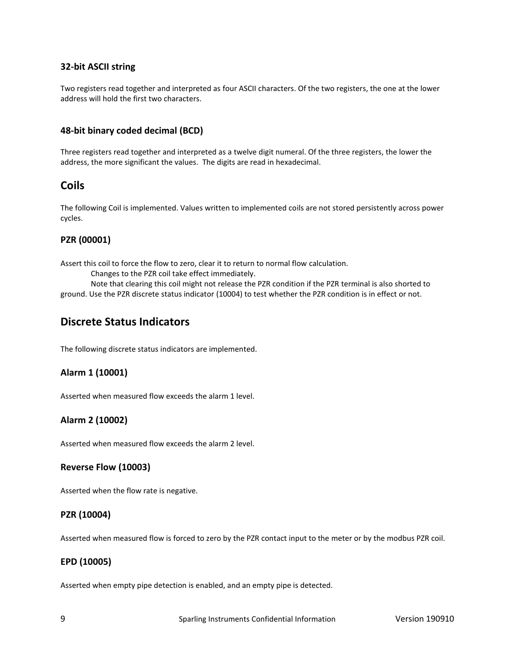#### **32-bit ASCII string**

Two registers read together and interpreted as four ASCII characters. Of the two registers, the one at the lower address will hold the first two characters.

#### **48-bit binary coded decimal (BCD)**

Three registers read together and interpreted as a twelve digit numeral. Of the three registers, the lower the address, the more significant the values. The digits are read in hexadecimal.

### **Coils**

The following Coil is implemented. Values written to implemented coils are not stored persistently across power cycles.

#### **PZR (00001)**

Assert this coil to force the flow to zero, clear it to return to normal flow calculation.

Changes to the PZR coil take effect immediately.

Note that clearing this coil might not release the PZR condition if the PZR terminal is also shorted to ground. Use the PZR discrete status indicator (10004) to test whether the PZR condition is in effect or not.

### **Discrete Status Indicators**

The following discrete status indicators are implemented.

#### **Alarm 1 (10001)**

Asserted when measured flow exceeds the alarm 1 level.

#### **Alarm 2 (10002)**

Asserted when measured flow exceeds the alarm 2 level.

#### **Reverse Flow (10003)**

Asserted when the flow rate is negative.

#### **PZR (10004)**

Asserted when measured flow is forced to zero by the PZR contact input to the meter or by the modbus PZR coil.

#### **EPD (10005)**

Asserted when empty pipe detection is enabled, and an empty pipe is detected.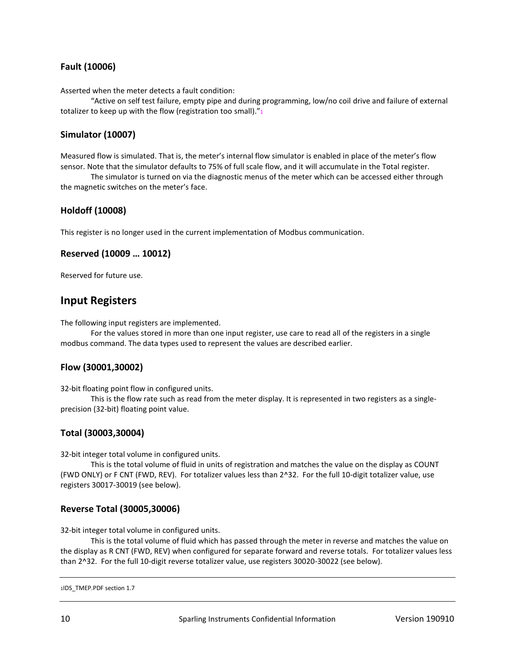#### **Fault (10006)**

Asserted when the meter detects a fault condition:

"Active on self test failure, empty pipe and during programming, low/no coil drive and failure of external totalizer to keep up with the flow (registration too small). $r_1$ 

#### **Simulator (10007)**

Measured flow is simulated. That is, the meter's internal flow simulator is enabled in place of the meter's flow sensor. Note that the simulator defaults to 75% of full scale flow, and it will accumulate in the Total register.

The simulator is turned on via the diagnostic menus of the meter which can be accessed either through the magnetic switches on the meter's face.

#### **Holdoff (10008)**

This register is no longer used in the current implementation of Modbus communication.

#### **Reserved (10009 … 10012)**

Reserved for future use.

#### **Input Registers**

The following input registers are implemented.

For the values stored in more than one input register, use care to read all of the registers in a single modbus command. The data types used to represent the values are described earlier.

#### **Flow (30001,30002)**

32-bit floating point flow in configured units.

This is the flow rate such as read from the meter display. It is represented in two registers as a singleprecision (32-bit) floating point value.

#### **Total (30003,30004)**

32-bit integer total volume in configured units.

This is the total volume of fluid in units of registration and matches the value on the display as COUNT (FWD ONLY) or F CNT (FWD, REV). For totalizer values less than 2^32. For the full 10-digit totalizer value, use registers 30017-30019 (see below).

#### **Reverse Total (30005,30006)**

32-bit integer total volume in configured units.

This is the total volume of fluid which has passed through the meter in reverse and matches the value on the display as R CNT (FWD, REV) when configured for separate forward and reverse totals. For totalizer values less than 2^32. For the full 10-digit reverse totalizer value, use registers 30020-30022 (see below).

```
1IDS_TMEP.PDF section 1.7
```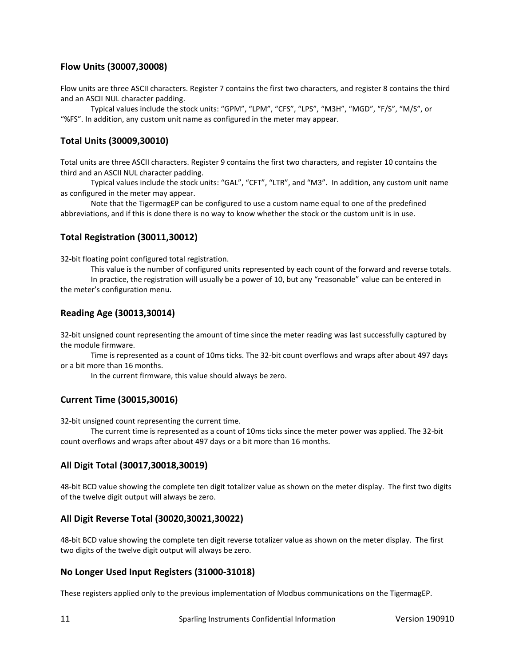#### **Flow Units (30007,30008)**

Flow units are three ASCII characters. Register 7 contains the first two characters, and register 8 contains the third and an ASCII NUL character padding.

Typical values include the stock units: "GPM", "LPM", "CFS", "LPS", "M3H", "MGD", "F/S", "M/S", or "%FS". In addition, any custom unit name as configured in the meter may appear.

#### **Total Units (30009,30010)**

Total units are three ASCII characters. Register 9 contains the first two characters, and register 10 contains the third and an ASCII NUL character padding.

Typical values include the stock units: "GAL", "CFT", "LTR", and "M3". In addition, any custom unit name as configured in the meter may appear.

Note that the TigermagEP can be configured to use a custom name equal to one of the predefined abbreviations, and if this is done there is no way to know whether the stock or the custom unit is in use.

#### **Total Registration (30011,30012)**

32-bit floating point configured total registration.

This value is the number of configured units represented by each count of the forward and reverse totals. In practice, the registration will usually be a power of 10, but any "reasonable" value can be entered in

the meter's configuration menu.

#### **Reading Age (30013,30014)**

32-bit unsigned count representing the amount of time since the meter reading was last successfully captured by the module firmware.

Time is represented as a count of 10ms ticks. The 32-bit count overflows and wraps after about 497 days or a bit more than 16 months.

In the current firmware, this value should always be zero.

#### **Current Time (30015,30016)**

32-bit unsigned count representing the current time.

The current time is represented as a count of 10ms ticks since the meter power was applied. The 32-bit count overflows and wraps after about 497 days or a bit more than 16 months.

#### **All Digit Total (30017,30018,30019)**

48-bit BCD value showing the complete ten digit totalizer value as shown on the meter display. The first two digits of the twelve digit output will always be zero.

#### **All Digit Reverse Total (30020,30021,30022)**

48-bit BCD value showing the complete ten digit reverse totalizer value as shown on the meter display. The first two digits of the twelve digit output will always be zero.

#### **No Longer Used Input Registers (31000-31018)**

These registers applied only to the previous implementation of Modbus communications on the TigermagEP.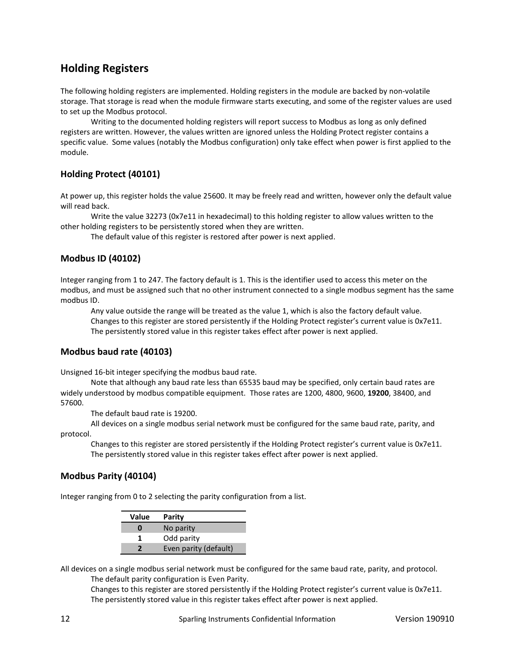# **Holding Registers**

The following holding registers are implemented. Holding registers in the module are backed by non-volatile storage. That storage is read when the module firmware starts executing, and some of the register values are used to set up the Modbus protocol.

Writing to the documented holding registers will report success to Modbus as long as only defined registers are written. However, the values written are ignored unless the Holding Protect register contains a specific value. Some values (notably the Modbus configuration) only take effect when power is first applied to the module.

#### **Holding Protect (40101)**

At power up, this register holds the value 25600. It may be freely read and written, however only the default value will read back.

Write the value 32273 (0x7e11 in hexadecimal) to this holding register to allow values written to the other holding registers to be persistently stored when they are written.

The default value of this register is restored after power is next applied.

#### **Modbus ID (40102)**

Integer ranging from 1 to 247. The factory default is 1. This is the identifier used to access this meter on the modbus, and must be assigned such that no other instrument connected to a single modbus segment has the same modbus ID.

Any value outside the range will be treated as the value 1, which is also the factory default value. Changes to this register are stored persistently if the Holding Protect register's current value is 0x7e11. The persistently stored value in this register takes effect after power is next applied.

#### **Modbus baud rate (40103)**

Unsigned 16-bit integer specifying the modbus baud rate.

Note that although any baud rate less than 65535 baud may be specified, only certain baud rates are widely understood by modbus compatible equipment. Those rates are 1200, 4800, 9600, **19200**, 38400, and 57600.

The default baud rate is 19200.

All devices on a single modbus serial network must be configured for the same baud rate, parity, and protocol.

Changes to this register are stored persistently if the Holding Protect register's current value is 0x7e11. The persistently stored value in this register takes effect after power is next applied.

#### **Modbus Parity (40104)**

Integer ranging from 0 to 2 selecting the parity configuration from a list.

| Value | Parity                |  |
|-------|-----------------------|--|
| Λ     | No parity             |  |
|       | Odd parity            |  |
|       | Even parity (default) |  |

All devices on a single modbus serial network must be configured for the same baud rate, parity, and protocol. The default parity configuration is Even Parity.

Changes to this register are stored persistently if the Holding Protect register's current value is 0x7e11. The persistently stored value in this register takes effect after power is next applied.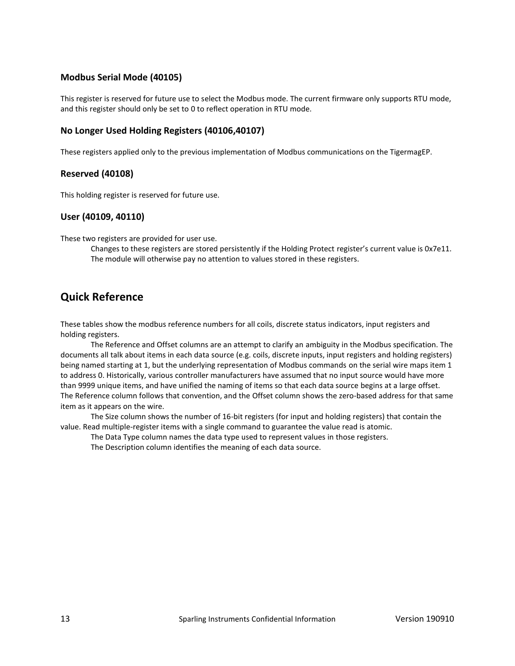#### **Modbus Serial Mode (40105)**

This register is reserved for future use to select the Modbus mode. The current firmware only supports RTU mode, and this register should only be set to 0 to reflect operation in RTU mode.

#### **No Longer Used Holding Registers (40106,40107)**

These registers applied only to the previous implementation of Modbus communications on the TigermagEP.

#### **Reserved (40108)**

This holding register is reserved for future use.

#### **User (40109, 40110)**

These two registers are provided for user use.

Changes to these registers are stored persistently if the Holding Protect register's current value is 0x7e11. The module will otherwise pay no attention to values stored in these registers.

### **Quick Reference**

These tables show the modbus reference numbers for all coils, discrete status indicators, input registers and holding registers.

The Reference and Offset columns are an attempt to clarify an ambiguity in the Modbus specification. The documents all talk about items in each data source (e.g. coils, discrete inputs, input registers and holding registers) being named starting at 1, but the underlying representation of Modbus commands on the serial wire maps item 1 to address 0. Historically, various controller manufacturers have assumed that no input source would have more than 9999 unique items, and have unified the naming of items so that each data source begins at a large offset. The Reference column follows that convention, and the Offset column shows the zero-based address for that same item as it appears on the wire.

The Size column shows the number of 16-bit registers (for input and holding registers) that contain the value. Read multiple-register items with a single command to guarantee the value read is atomic.

The Data Type column names the data type used to represent values in those registers.

The Description column identifies the meaning of each data source.